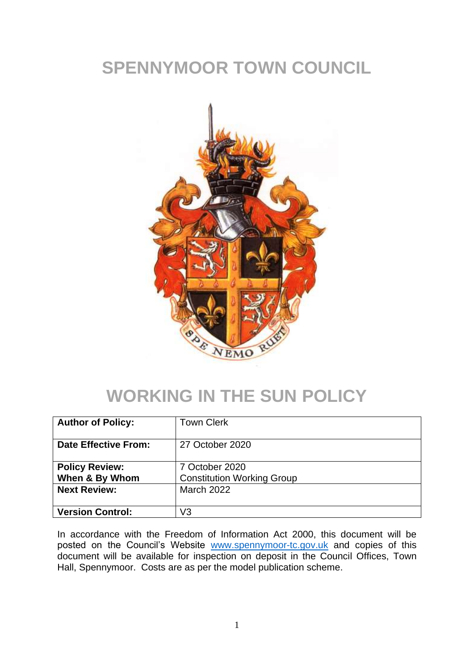## **SPENNYMOOR TOWN COUNCIL**



### **WORKING IN THE SUN POLICY**

| <b>Author of Policy:</b>                | <b>Town Clerk</b>                                   |
|-----------------------------------------|-----------------------------------------------------|
| Date Effective From:                    | 27 October 2020                                     |
| <b>Policy Review:</b><br>When & By Whom | 7 October 2020<br><b>Constitution Working Group</b> |
| <b>Next Review:</b>                     | <b>March 2022</b>                                   |
| <b>Version Control:</b>                 | V3                                                  |

In accordance with the Freedom of Information Act 2000, this document will be posted on the Council's Website [www.spennymoor-tc.gov.uk](http://www.spennymoor-tc.gov.uk/) and copies of this document will be available for inspection on deposit in the Council Offices, Town Hall, Spennymoor. Costs are as per the model publication scheme.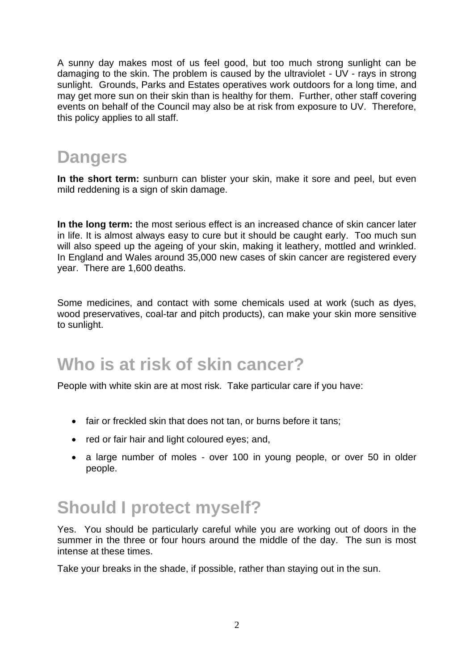A sunny day makes most of us feel good, but too much strong sunlight can be damaging to the skin. The problem is caused by the ultraviolet - UV - rays in strong sunlight. Grounds, Parks and Estates operatives work outdoors for a long time, and may get more sun on their skin than is healthy for them. Further, other staff covering events on behalf of the Council may also be at risk from exposure to UV. Therefore, this policy applies to all staff.

## **Dangers**

**In the short term:** sunburn can blister your skin, make it sore and peel, but even mild reddening is a sign of skin damage.

**In the long term:** the most serious effect is an increased chance of skin cancer later in life. It is almost always easy to cure but it should be caught early. Too much sun will also speed up the ageing of your skin, making it leathery, mottled and wrinkled. In England and Wales around 35,000 new cases of skin cancer are registered every year. There are 1,600 deaths.

Some medicines, and contact with some chemicals used at work (such as dyes, wood preservatives, coal-tar and pitch products), can make your skin more sensitive to sunlight.

#### **Who is at risk of skin cancer?**

People with white skin are at most risk. Take particular care if you have:

- fair or freckled skin that does not tan, or burns before it tans;
- red or fair hair and light coloured eyes; and,
- a large number of moles over 100 in young people, or over 50 in older people.

## **Should I protect myself?**

Yes. You should be particularly careful while you are working out of doors in the summer in the three or four hours around the middle of the day. The sun is most intense at these times.

Take your breaks in the shade, if possible, rather than staying out in the sun.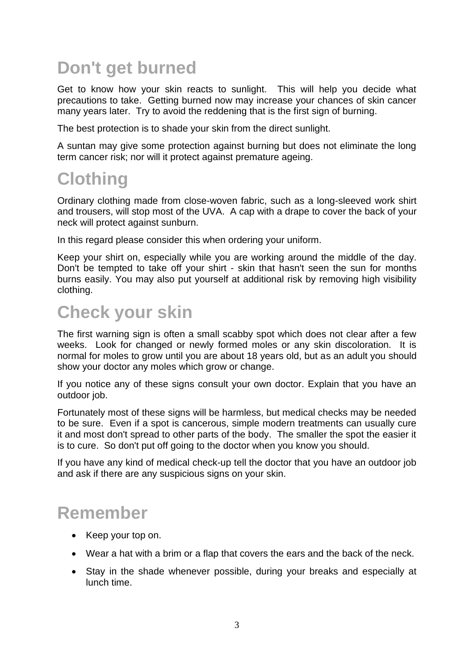# **Don't get burned**

Get to know how your skin reacts to sunlight. This will help you decide what precautions to take. Getting burned now may increase your chances of skin cancer many years later. Try to avoid the reddening that is the first sign of burning.

The best protection is to shade your skin from the direct sunlight.

A suntan may give some protection against burning but does not eliminate the long term cancer risk; nor will it protect against premature ageing.

#### **Clothing**

Ordinary clothing made from close-woven fabric, such as a long-sleeved work shirt and trousers, will stop most of the UVA. A cap with a drape to cover the back of your neck will protect against sunburn.

In this regard please consider this when ordering your uniform.

Keep your shirt on, especially while you are working around the middle of the day. Don't be tempted to take off your shirt - skin that hasn't seen the sun for months burns easily. You may also put yourself at additional risk by removing high visibility clothing.

#### **Check your skin**

The first warning sign is often a small scabby spot which does not clear after a few weeks. Look for changed or newly formed moles or any skin discoloration. It is normal for moles to grow until you are about 18 years old, but as an adult you should show your doctor any moles which grow or change.

If you notice any of these signs consult your own doctor. Explain that you have an outdoor job.

Fortunately most of these signs will be harmless, but medical checks may be needed to be sure. Even if a spot is cancerous, simple modern treatments can usually cure it and most don't spread to other parts of the body. The smaller the spot the easier it is to cure. So don't put off going to the doctor when you know you should.

If you have any kind of medical check-up tell the doctor that you have an outdoor job and ask if there are any suspicious signs on your skin.

## **Remember**

- Keep your top on.
- Wear a hat with a brim or a flap that covers the ears and the back of the neck.
- Stay in the shade whenever possible, during your breaks and especially at lunch time.